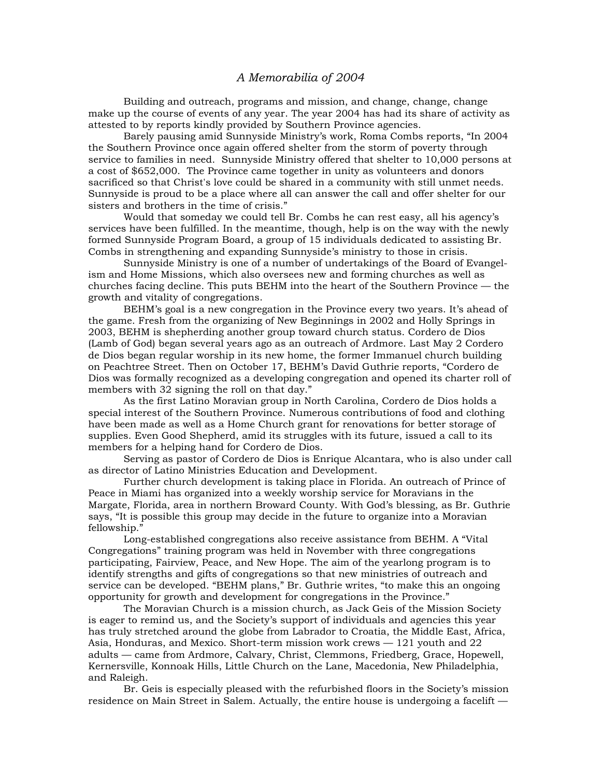## *A Memorabilia of 2004*

 Building and outreach, programs and mission, and change, change, change make up the course of events of any year. The year 2004 has had its share of activity as attested to by reports kindly provided by Southern Province agencies.

 Barely pausing amid Sunnyside Ministry's work, Roma Combs reports, "In 2004 the Southern Province once again offered shelter from the storm of poverty through service to families in need. Sunnyside Ministry offered that shelter to 10,000 persons at a cost of \$652,000. The Province came together in unity as volunteers and donors sacrificed so that Christ's love could be shared in a community with still unmet needs. Sunnyside is proud to be a place where all can answer the call and offer shelter for our sisters and brothers in the time of crisis."

 Would that someday we could tell Br. Combs he can rest easy, all his agency's services have been fulfilled. In the meantime, though, help is on the way with the newly formed Sunnyside Program Board, a group of 15 individuals dedicated to assisting Br. Combs in strengthening and expanding Sunnyside's ministry to those in crisis.

 Sunnyside Ministry is one of a number of undertakings of the Board of Evangelism and Home Missions, which also oversees new and forming churches as well as churches facing decline. This puts BEHM into the heart of the Southern Province — the growth and vitality of congregations.

 BEHM's goal is a new congregation in the Province every two years. It's ahead of the game. Fresh from the organizing of New Beginnings in 2002 and Holly Springs in 2003, BEHM is shepherding another group toward church status. Cordero de Dios (Lamb of God) began several years ago as an outreach of Ardmore. Last May 2 Cordero de Dios began regular worship in its new home, the former Immanuel church building on Peachtree Street. Then on October 17, BEHM's David Guthrie reports, "Cordero de Dios was formally recognized as a developing congregation and opened its charter roll of members with 32 signing the roll on that day."

 As the first Latino Moravian group in North Carolina, Cordero de Dios holds a special interest of the Southern Province. Numerous contributions of food and clothing have been made as well as a Home Church grant for renovations for better storage of supplies. Even Good Shepherd, amid its struggles with its future, issued a call to its members for a helping hand for Cordero de Dios.

 Serving as pastor of Cordero de Dios is Enrique Alcantara, who is also under call as director of Latino Ministries Education and Development.

 Further church development is taking place in Florida. An outreach of Prince of Peace in Miami has organized into a weekly worship service for Moravians in the Margate, Florida, area in northern Broward County. With God's blessing, as Br. Guthrie says, "It is possible this group may decide in the future to organize into a Moravian fellowship."

Long-established congregations also receive assistance from BEHM. A "Vital Congregations" training program was held in November with three congregations participating, Fairview, Peace, and New Hope. The aim of the yearlong program is to identify strengths and gifts of congregations so that new ministries of outreach and service can be developed. "BEHM plans," Br. Guthrie writes, "to make this an ongoing opportunity for growth and development for congregations in the Province."

The Moravian Church is a mission church, as Jack Geis of the Mission Society is eager to remind us, and the Society's support of individuals and agencies this year has truly stretched around the globe from Labrador to Croatia, the Middle East, Africa, Asia, Honduras, and Mexico. Short-term mission work crews — 121 youth and 22 adults — came from Ardmore, Calvary, Christ, Clemmons, Friedberg, Grace, Hopewell, Kernersville, Konnoak Hills, Little Church on the Lane, Macedonia, New Philadelphia, and Raleigh.

Br. Geis is especially pleased with the refurbished floors in the Society's mission residence on Main Street in Salem. Actually, the entire house is undergoing a facelift —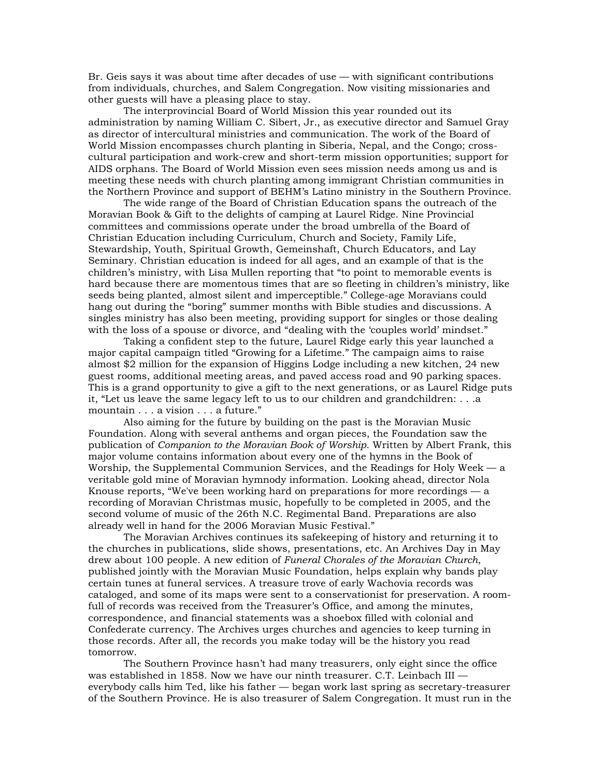Br. Geis says it was about time after decades of use — with significant contributions from individuals, churches, and Salem Congregation. Now visiting missionaries and other guests will have a pleasing place to stay.

The interprovincial Board of World Mission this year rounded out its administration by naming William C. Sibert, Jr., as executive director and Samuel Gray as director of intercultural ministries and communication. The work of the Board of World Mission encompasses church planting in Siberia, Nepal, and the Congo; crosscultural participation and work-crew and short-term mission opportunities; support for AIDS orphans. The Board of World Mission even sees mission needs among us and is meeting these needs with church planting among immigrant Christian communities in the Northern Province and support of BEHM's Latino ministry in the Southern Province.

The wide range of the Board of Christian Education spans the outreach of the Moravian Book & Gift to the delights of camping at Laurel Ridge. Nine Provincial committees and commissions operate under the broad umbrella of the Board of Christian Education including Curriculum, Church and Society, Family Life, Stewardship, Youth, Spiritual Growth, Gemeinshaft, Church Educators, and Lay Seminary. Christian education is indeed for all ages, and an example of that is the children's ministry, with Lisa Mullen reporting that "to point to memorable events is hard because there are momentous times that are so fleeting in children's ministry, like seeds being planted, almost silent and imperceptible." College-age Moravians could hang out during the "boring" summer months with Bible studies and discussions. A singles ministry has also been meeting, providing support for singles or those dealing with the loss of a spouse or divorce, and "dealing with the 'couples world' mindset."

Taking a confident step to the future, Laurel Ridge early this year launched a major capital campaign titled "Growing for a Lifetime." The campaign aims to raise almost \$2 million for the expansion of Higgins Lodge including a new kitchen, 24 new guest rooms, additional meeting areas, and paved access road and 90 parking spaces. This is a grand opportunity to give a gift to the next generations, or as Laurel Ridge puts it, "Let us leave the same legacy left to us to our children and grandchildren: . . .a mountain . . . a vision . . . a future."

Also aiming for the future by building on the past is the Moravian Music Foundation. Along with several anthems and organ pieces, the Foundation saw the publication of *Companion to the Moravian Book of Worship*. Written by Albert Frank, this major volume contains information about every one of the hymns in the Book of Worship, the Supplemental Communion Services, and the Readings for Holy Week — a veritable gold mine of Moravian hymnody information. Looking ahead, director Nola Knouse reports, "We've been working hard on preparations for more recordings — a recording of Moravian Christmas music, hopefully to be completed in 2005, and the second volume of music of the 26th N.C. Regimental Band. Preparations are also already well in hand for the 2006 Moravian Music Festival."

The Moravian Archives continues its safekeeping of history and returning it to the churches in publications, slide shows, presentations, etc. An Archives Day in May drew about 100 people. A new edition of *Funeral Chorales of the Moravian Church*, published jointly with the Moravian Music Foundation, helps explain why bands play certain tunes at funeral services. A treasure trove of early Wachovia records was cataloged, and some of its maps were sent to a conservationist for preservation. A roomfull of records was received from the Treasurer's Office, and among the minutes, correspondence, and financial statements was a shoebox filled with colonial and Confederate currency. The Archives urges churches and agencies to keep turning in those records. After all, the records you make today will be the history you read tomorrow.

The Southern Province hasn't had many treasurers, only eight since the office was established in 1858. Now we have our ninth treasurer. C.T. Leinbach III everybody calls him Ted, like his father — began work last spring as secretary-treasurer of the Southern Province. He is also treasurer of Salem Congregation. It must run in the